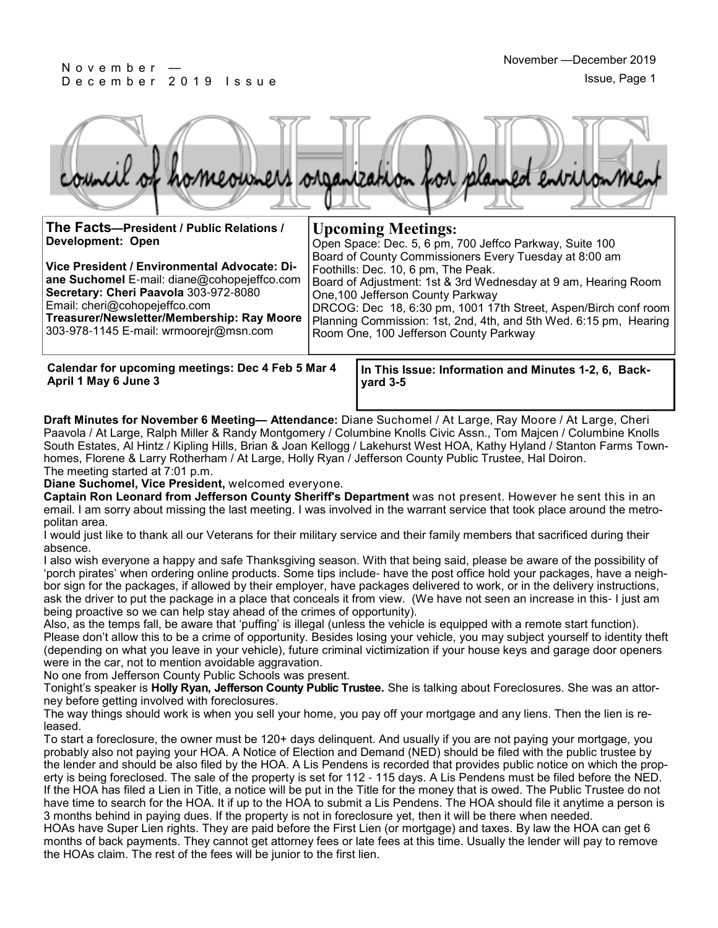#### N o v e m b e r — De cember 2019 Issue



| The Facts-President / Public Relations /<br>Development: Open<br>Vice President / Environmental Advocate: Di-<br>ane Suchomel E-mail: diane@cohopejeffco.com<br>Secretary: Cheri Paavola 303-972-8080<br>Email: cheri@cohopejeffco.com<br>Treasurer/Newsletter/Membership: Ray Moore<br>303-978-1145 E-mail: wrmoorejr@msn.com |  | <b>Upcoming Meetings:</b><br>Open Space: Dec. 5, 6 pm, 700 Jeffco Parkway, Suite 100<br>Board of County Commissioners Every Tuesday at 8:00 am<br>Foothills: Dec. 10, 6 pm, The Peak.<br>Board of Adjustment: 1st & 3rd Wednesday at 9 am, Hearing Room<br>One, 100 Jefferson County Parkway<br>DRCOG: Dec 18, 6:30 pm, 1001 17th Street, Aspen/Birch conf room<br>Planning Commission: 1st, 2nd, 4th, and 5th Wed. 6:15 pm, Hearing<br>Room One, 100 Jefferson County Parkway |
|--------------------------------------------------------------------------------------------------------------------------------------------------------------------------------------------------------------------------------------------------------------------------------------------------------------------------------|--|--------------------------------------------------------------------------------------------------------------------------------------------------------------------------------------------------------------------------------------------------------------------------------------------------------------------------------------------------------------------------------------------------------------------------------------------------------------------------------|
| Calendar for upcoming meetings: Dec 4 Feb 5 Mar 4                                                                                                                                                                                                                                                                              |  | In This Issue: Information and Minutes 1-2, 6, Back-                                                                                                                                                                                                                                                                                                                                                                                                                           |
| April 1 May 6 June 3                                                                                                                                                                                                                                                                                                           |  | $\gamma$ ard 3-5                                                                                                                                                                                                                                                                                                                                                                                                                                                               |

**Draft Minutes for November 6 Meeting— Attendance:** Diane Suchomel / At Large, Ray Moore / At Large, Cheri Paavola / At Large, Ralph Miller & Randy Montgomery / Columbine Knolls Civic Assn., Tom Majcen / Columbine Knolls South Estates, Al Hintz / Kipling Hills, Brian & Joan Kellogg / Lakehurst West HOA, Kathy Hyland / Stanton Farms Townhomes, Florene & Larry Rotherham / At Large, Holly Ryan / Jefferson County Public Trustee, Hal Doiron. The meeting started at 7:01 p.m.

**Diane Suchomel, Vice President,** welcomed everyone.

**Captain Ron Leonard from Jefferson County Sheriff's Department** was not present. However he sent this in an email. I am sorry about missing the last meeting. I was involved in the warrant service that took place around the metropolitan area.

I would just like to thank all our Veterans for their military service and their family members that sacrificed during their absence.

I also wish everyone a happy and safe Thanksgiving season. With that being said, please be aware of the possibility of 'porch pirates' when ordering online products. Some tips include- have the post office hold your packages, have a neighbor sign for the packages, if allowed by their employer, have packages delivered to work, or in the delivery instructions, ask the driver to put the package in a place that conceals it from view. (We have not seen an increase in this- I just am being proactive so we can help stay ahead of the crimes of opportunity).

Also, as the temps fall, be aware that 'puffing' is illegal (unless the vehicle is equipped with a remote start function). Please don't allow this to be a crime of opportunity. Besides losing your vehicle, you may subject yourself to identity theft (depending on what you leave in your vehicle), future criminal victimization if your house keys and garage door openers were in the car, not to mention avoidable aggravation.

No one from Jefferson County Public Schools was present.

Tonight's speaker is **Holly Ryan, Jefferson County Public Trustee.** She is talking about Foreclosures. She was an attorney before getting involved with foreclosures.

The way things should work is when you sell your home, you pay off your mortgage and any liens. Then the lien is released.

To start a foreclosure, the owner must be 120+ days delinquent. And usually if you are not paying your mortgage, you probably also not paying your HOA. A Notice of Election and Demand (NED) should be filed with the public trustee by the lender and should be also filed by the HOA. A Lis Pendens is recorded that provides public notice on which the property is being foreclosed. The sale of the property is set for 112 - 115 days. A Lis Pendens must be filed before the NED. If the HOA has filed a Lien in Title, a notice will be put in the Title for the money that is owed. The Public Trustee do not have time to search for the HOA. It if up to the HOA to submit a Lis Pendens. The HOA should file it anytime a person is 3 months behind in paying dues. If the property is not in foreclosure yet, then it will be there when needed.

HOAs have Super Lien rights. They are paid before the First Lien (or mortgage) and taxes. By law the HOA can get 6 months of back payments. They cannot get attorney fees or late fees at this time. Usually the lender will pay to remove the HOAs claim. The rest of the fees will be junior to the first lien.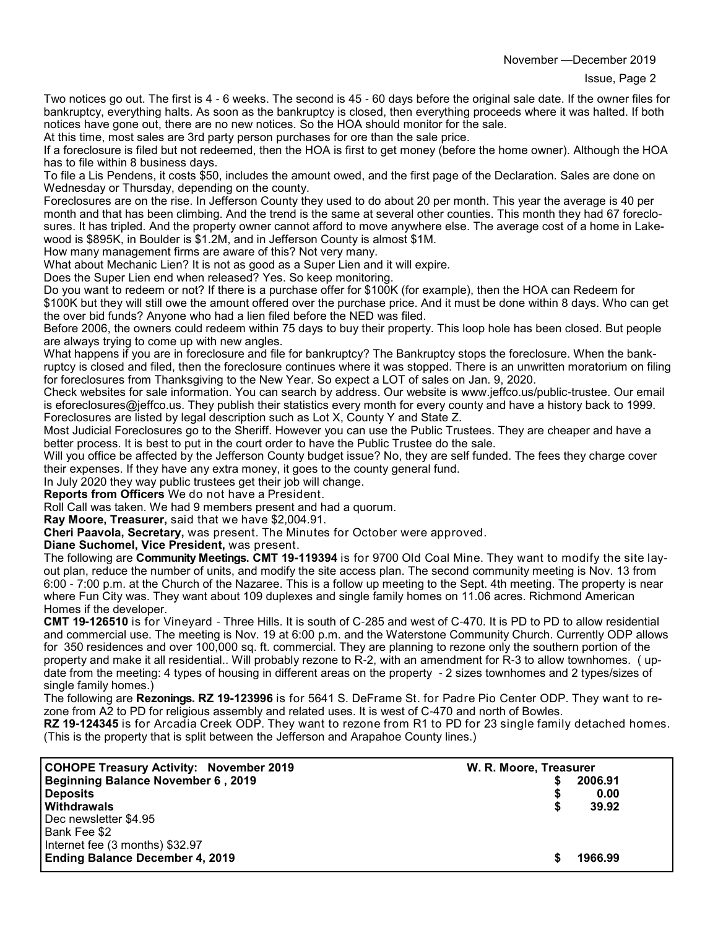Two notices go out. The first is 4 - 6 weeks. The second is 45 - 60 days before the original sale date. If the owner files for bankruptcy, everything halts. As soon as the bankruptcy is closed, then everything proceeds where it was halted. If both notices have gone out, there are no new notices. So the HOA should monitor for the sale.

At this time, most sales are 3rd party person purchases for ore than the sale price.

If a foreclosure is filed but not redeemed, then the HOA is first to get money (before the home owner). Although the HOA has to file within 8 business days.

To file a Lis Pendens, it costs \$50, includes the amount owed, and the first page of the Declaration. Sales are done on Wednesday or Thursday, depending on the county.

Foreclosures are on the rise. In Jefferson County they used to do about 20 per month. This year the average is 40 per month and that has been climbing. And the trend is the same at several other counties. This month they had 67 foreclosures. It has tripled. And the property owner cannot afford to move anywhere else. The average cost of a home in Lakewood is \$895K, in Boulder is \$1.2M, and in Jefferson County is almost \$1M.

How many management firms are aware of this? Not very many.

What about Mechanic Lien? It is not as good as a Super Lien and it will expire.

Does the Super Lien end when released? Yes. So keep monitoring.

Do you want to redeem or not? If there is a purchase offer for \$100K (for example), then the HOA can Redeem for \$100K but they will still owe the amount offered over the purchase price. And it must be done within 8 days. Who can get the over bid funds? Anyone who had a lien filed before the NED was filed.

Before 2006, the owners could redeem within 75 days to buy their property. This loop hole has been closed. But people are always trying to come up with new angles.

What happens if you are in foreclosure and file for bankruptcy? The Bankruptcy stops the foreclosure. When the bankruptcy is closed and filed, then the foreclosure continues where it was stopped. There is an unwritten moratorium on filing for foreclosures from Thanksgiving to the New Year. So expect a LOT of sales on Jan. 9, 2020.

Check websites for sale information. You can search by address. Our website is www.jeffco.us/public-trustee. Our email is eforeclosures@jeffco.us. They publish their statistics every month for every county and have a history back to 1999. Foreclosures are listed by legal description such as Lot X, County Y and State Z.

Most Judicial Foreclosures go to the Sheriff. However you can use the Public Trustees. They are cheaper and have a better process. It is best to put in the court order to have the Public Trustee do the sale.

Will you office be affected by the Jefferson County budget issue? No, they are self funded. The fees they charge cover their expenses. If they have any extra money, it goes to the county general fund.

In July 2020 they way public trustees get their job will change.

**Reports from Officers** We do not have a President.

Roll Call was taken. We had 9 members present and had a quorum.

**Ray Moore, Treasurer,** said that we have \$2,004.91.

**Cheri Paavola, Secretary,** was present. The Minutes for October were approved.

**Diane Suchomel, Vice President,** was present.

The following are **Community Meetings. CMT 19-119394** is for 9700 Old Coal Mine. They want to modify the site layout plan, reduce the number of units, and modify the site access plan. The second community meeting is Nov. 13 from 6:00 - 7:00 p.m. at the Church of the Nazaree. This is a follow up meeting to the Sept. 4th meeting. The property is near where Fun City was. They want about 109 duplexes and single family homes on 11.06 acres. Richmond American Homes if the developer.

**CMT 19-126510** is for Vineyard - Three Hills. It is south of C-285 and west of C-470. It is PD to PD to allow residential and commercial use. The meeting is Nov. 19 at 6:00 p.m. and the Waterstone Community Church. Currently ODP allows for 350 residences and over 100,000 sq. ft. commercial. They are planning to rezone only the southern portion of the property and make it all residential.. Will probably rezone to R-2, with an amendment for R-3 to allow townhomes. ( update from the meeting: 4 types of housing in different areas on the property - 2 sizes townhomes and 2 types/sizes of single family homes.)

The following are **Rezonings. RZ 19-123996** is for 5641 S. DeFrame St. for Padre Pio Center ODP. They want to rezone from A2 to PD for religious assembly and related uses. It is west of C-470 and north of Bowles.

**RZ 19-124345** is for Arcadia Creek ODP. They want to rezone from R1 to PD for 23 single family detached homes. (This is the property that is split between the Jefferson and Arapahoe County lines.)

| <b>COHOPE Treasury Activity: November 2019</b><br>Beginning Balance November 6, 2019      | W. R. Moore, Treasurer<br>2006.91 |
|-------------------------------------------------------------------------------------------|-----------------------------------|
| Deposits<br><b>Withdrawals</b><br>l Dec newsletter \$4.95                                 | 0.00<br>39.92                     |
| Bank Fee \$2<br>Internet fee (3 months) \$32.97<br><b>Ending Balance December 4, 2019</b> | 1966.99                           |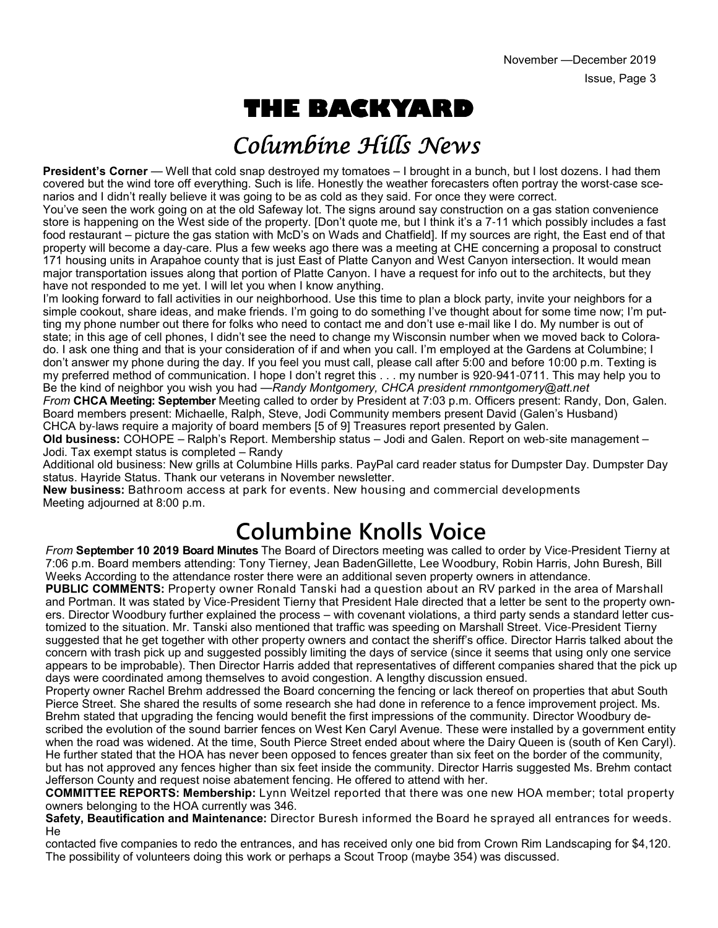# **THE BACKYARD**

## Columbine Hills News

**President's Corner** — Well that cold snap destroyed my tomatoes – I brought in a bunch, but I lost dozens. I had them covered but the wind tore off everything. Such is life. Honestly the weather forecasters often portray the worst-case scenarios and I didn't really believe it was going to be as cold as they said. For once they were correct.

You've seen the work going on at the old Safeway lot. The signs around say construction on a gas station convenience store is happening on the West side of the property. [Don't quote me, but I think it's a 7-11 which possibly includes a fast food restaurant – picture the gas station with McD's on Wads and Chatfield]. If my sources are right, the East end of that property will become a day-care. Plus a few weeks ago there was a meeting at CHE concerning a proposal to construct 171 housing units in Arapahoe county that is just East of Platte Canyon and West Canyon intersection. It would mean major transportation issues along that portion of Platte Canyon. I have a request for info out to the architects, but they have not responded to me yet. I will let you when I know anything.

I'm looking forward to fall activities in our neighborhood. Use this time to plan a block party, invite your neighbors for a simple cookout, share ideas, and make friends. I'm going to do something I've thought about for some time now; I'm putting my phone number out there for folks who need to contact me and don't use e-mail like I do. My number is out of state; in this age of cell phones, I didn't see the need to change my Wisconsin number when we moved back to Colorado. I ask one thing and that is your consideration of if and when you call. I'm employed at the Gardens at Columbine; I don't answer my phone during the day. If you feel you must call, please call after 5:00 and before 10:00 p.m. Texting is my preferred method of communication. I hope I don't regret this . . . my number is 920-941-0711. This may help you to Be the kind of neighbor you wish you had —*Randy Montgomery, CHCA president rnmontgomery@att.net*

*From* **CHCA Meeting: September** Meeting called to order by President at 7:03 p.m. Officers present: Randy, Don, Galen. Board members present: Michaelle, Ralph, Steve, Jodi Community members present David (Galen's Husband) CHCA by-laws require a majority of board members [5 of 9] Treasures report presented by Galen.

**Old business:** COHOPE – Ralph's Report. Membership status – Jodi and Galen. Report on web-site management – Jodi. Tax exempt status is completed – Randy

Additional old business: New grills at Columbine Hills parks. PayPal card reader status for Dumpster Day. Dumpster Day status. Hayride Status. Thank our veterans in November newsletter.

**New business:** Bathroom access at park for events. New housing and commercial developments Meeting adjourned at 8:00 p.m.

## **Columbine Knolls Voice**

*From* **September 10 2019 Board Minutes** The Board of Directors meeting was called to order by Vice-President Tierny at 7:06 p.m. Board members attending: Tony Tierney, Jean BadenGillette, Lee Woodbury, Robin Harris, John Buresh, Bill Weeks According to the attendance roster there were an additional seven property owners in attendance.

**PUBLIC COMMENTS:** Property owner Ronald Tanski had a question about an RV parked in the area of Marshall and Portman. It was stated by Vice-President Tierny that President Hale directed that a letter be sent to the property owners. Director Woodbury further explained the process – with covenant violations, a third party sends a standard letter customized to the situation. Mr. Tanski also mentioned that traffic was speeding on Marshall Street. Vice-President Tierny suggested that he get together with other property owners and contact the sheriff's office. Director Harris talked about the concern with trash pick up and suggested possibly limiting the days of service (since it seems that using only one service appears to be improbable). Then Director Harris added that representatives of different companies shared that the pick up days were coordinated among themselves to avoid congestion. A lengthy discussion ensued.

Property owner Rachel Brehm addressed the Board concerning the fencing or lack thereof on properties that abut South Pierce Street. She shared the results of some research she had done in reference to a fence improvement project. Ms. Brehm stated that upgrading the fencing would benefit the first impressions of the community. Director Woodbury described the evolution of the sound barrier fences on West Ken Caryl Avenue. These were installed by a government entity when the road was widened. At the time, South Pierce Street ended about where the Dairy Queen is (south of Ken Caryl). He further stated that the HOA has never been opposed to fences greater than six feet on the border of the community, but has not approved any fences higher than six feet inside the community. Director Harris suggested Ms. Brehm contact Jefferson County and request noise abatement fencing. He offered to attend with her.

**COMMITTEE REPORTS: Membership:** Lynn Weitzel reported that there was one new HOA member; total property owners belonging to the HOA currently was 346.

**Safety, Beautification and Maintenance:** Director Buresh informed the Board he sprayed all entrances for weeds. He

contacted five companies to redo the entrances, and has received only one bid from Crown Rim Landscaping for \$4,120. The possibility of volunteers doing this work or perhaps a Scout Troop (maybe 354) was discussed.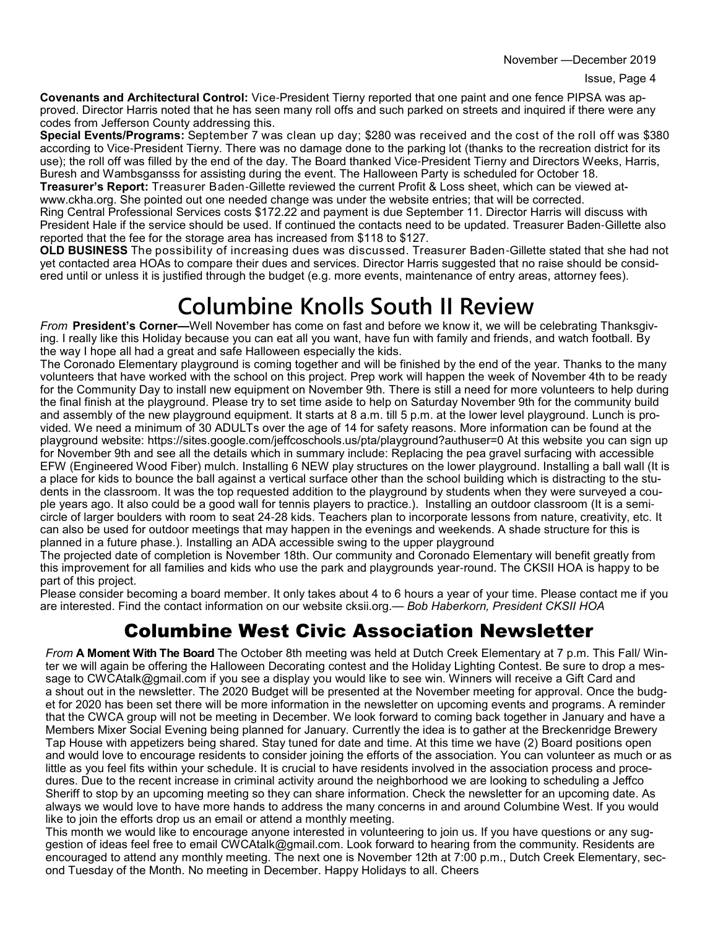**Covenants and Architectural Control:** Vice-President Tierny reported that one paint and one fence PIPSA was approved. Director Harris noted that he has seen many roll offs and such parked on streets and inquired if there were any codes from Jefferson County addressing this.

**Special Events/Programs:** September 7 was clean up day; \$280 was received and the cost of the roll off was \$380 according to Vice-President Tierny. There was no damage done to the parking lot (thanks to the recreation district for its use); the roll off was filled by the end of the day. The Board thanked Vice-President Tierny and Directors Weeks, Harris, Buresh and Wambsgansss for assisting during the event. The Halloween Party is scheduled for October 18.

**Treasurer's Report:** Treasurer Baden-Gillette reviewed the current Profit & Loss sheet, which can be viewed atwww.ckha.org. She pointed out one needed change was under the website entries; that will be corrected. Ring Central Professional Services costs \$172.22 and payment is due September 11. Director Harris will discuss with

President Hale if the service should be used. If continued the contacts need to be updated. Treasurer Baden-Gillette also reported that the fee for the storage area has increased from \$118 to \$127.

**OLD BUSINESS** The possibility of increasing dues was discussed. Treasurer Baden-Gillette stated that she had not yet contacted area HOAs to compare their dues and services. Director Harris suggested that no raise should be considered until or unless it is justified through the budget (e.g. more events, maintenance of entry areas, attorney fees).

## **Columbine Knolls South II Review**

*From* **President's Corner—**Well November has come on fast and before we know it, we will be celebrating Thanksgiving. I really like this Holiday because you can eat all you want, have fun with family and friends, and watch football. By the way I hope all had a great and safe Halloween especially the kids.

The Coronado Elementary playground is coming together and will be finished by the end of the year. Thanks to the many volunteers that have worked with the school on this project. Prep work will happen the week of November 4th to be ready for the Community Day to install new equipment on November 9th. There is still a need for more volunteers to help during the final finish at the playground. Please try to set time aside to help on Saturday November 9th for the community build and assembly of the new playground equipment. It starts at 8 a.m. till 5 p.m. at the lower level playground. Lunch is provided. We need a minimum of 30 ADULTs over the age of 14 for safety reasons. More information can be found at the playground website: https://sites.google.com/jeffcoschools.us/pta/playground?authuser=0 At this website you can sign up for November 9th and see all the details which in summary include: Replacing the pea gravel surfacing with accessible EFW (Engineered Wood Fiber) mulch. Installing 6 NEW play structures on the lower playground. Installing a ball wall (It is a place for kids to bounce the ball against a vertical surface other than the school building which is distracting to the students in the classroom. It was the top requested addition to the playground by students when they were surveyed a couple years ago. It also could be a good wall for tennis players to practice.). Installing an outdoor classroom (It is a semicircle of larger boulders with room to seat 24-28 kids. Teachers plan to incorporate lessons from nature, creativity, etc. It can also be used for outdoor meetings that may happen in the evenings and weekends. A shade structure for this is planned in a future phase.). Installing an ADA accessible swing to the upper playground

The projected date of completion is November 18th. Our community and Coronado Elementary will benefit greatly from this improvement for all families and kids who use the park and playgrounds year-round. The CKSII HOA is happy to be part of this project.

Please consider becoming a board member. It only takes about 4 to 6 hours a year of your time. Please contact me if you are interested. Find the contact information on our website cksii.org.— *Bob Haberkorn, President CKSII HOA*

#### Columbine West Civic Association Newsletter

*From* **A Moment With The Board** The October 8th meeting was held at Dutch Creek Elementary at 7 p.m. This Fall/ Winter we will again be offering the Halloween Decorating contest and the Holiday Lighting Contest. Be sure to drop a message to CWCAtalk@gmail.com if you see a display you would like to see win. Winners will receive a Gift Card and a shout out in the newsletter. The 2020 Budget will be presented at the November meeting for approval. Once the budget for 2020 has been set there will be more information in the newsletter on upcoming events and programs. A reminder that the CWCA group will not be meeting in December. We look forward to coming back together in January and have a Members Mixer Social Evening being planned for January. Currently the idea is to gather at the Breckenridge Brewery Tap House with appetizers being shared. Stay tuned for date and time. At this time we have (2) Board positions open and would love to encourage residents to consider joining the efforts of the association. You can volunteer as much or as little as you feel fits within your schedule. It is crucial to have residents involved in the association process and procedures. Due to the recent increase in criminal activity around the neighborhood we are looking to scheduling a Jeffco Sheriff to stop by an upcoming meeting so they can share information. Check the newsletter for an upcoming date. As always we would love to have more hands to address the many concerns in and around Columbine West. If you would like to join the efforts drop us an email or attend a monthly meeting.

This month we would like to encourage anyone interested in volunteering to join us. If you have questions or any suggestion of ideas feel free to email CWCAtalk@gmail.com. Look forward to hearing from the community. Residents are encouraged to attend any monthly meeting. The next one is November 12th at 7:00 p.m., Dutch Creek Elementary, second Tuesday of the Month. No meeting in December. Happy Holidays to all. Cheers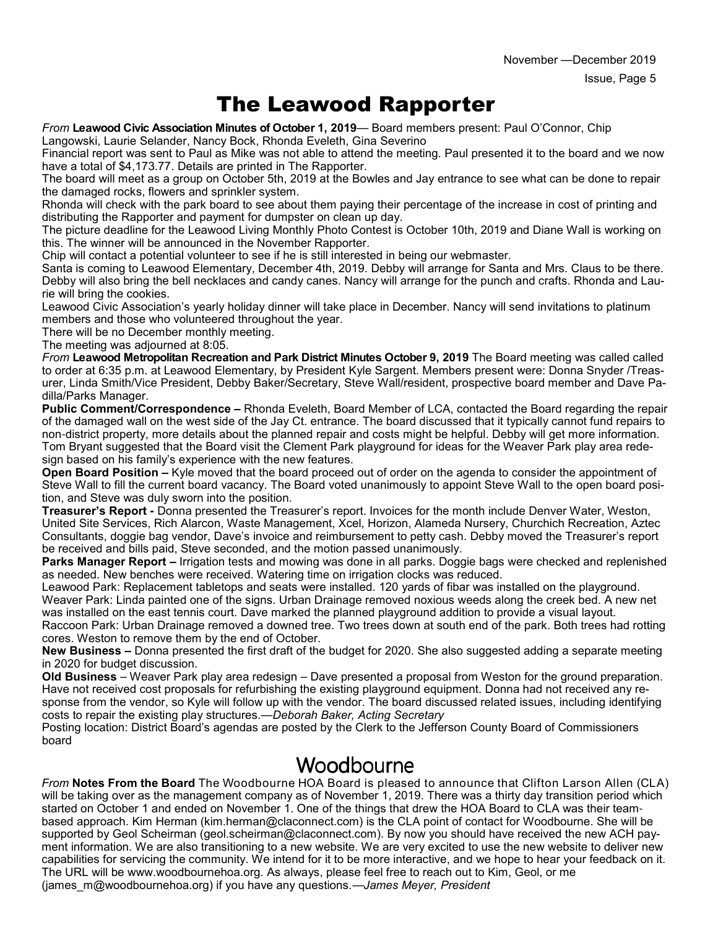### The Leawood Rapporter

*From* **Leawood Civic Association Minutes of October 1, 2019**— Board members present: Paul O'Connor, Chip Langowski, Laurie Selander, Nancy Bock, Rhonda Eveleth, Gina Severino

Financial report was sent to Paul as Mike was not able to attend the meeting. Paul presented it to the board and we now have a total of \$4,173.77. Details are printed in The Rapporter.

The board will meet as a group on October 5th, 2019 at the Bowles and Jay entrance to see what can be done to repair the damaged rocks, flowers and sprinkler system.

Rhonda will check with the park board to see about them paying their percentage of the increase in cost of printing and distributing the Rapporter and payment for dumpster on clean up day.

The picture deadline for the Leawood Living Monthly Photo Contest is October 10th, 2019 and Diane Wall is working on this. The winner will be announced in the November Rapporter.

Chip will contact a potential volunteer to see if he is still interested in being our webmaster.

Santa is coming to Leawood Elementary, December 4th, 2019. Debby will arrange for Santa and Mrs. Claus to be there. Debby will also bring the bell necklaces and candy canes. Nancy will arrange for the punch and crafts. Rhonda and Laurie will bring the cookies.

Leawood Civic Association's yearly holiday dinner will take place in December. Nancy will send invitations to platinum members and those who volunteered throughout the year.

There will be no December monthly meeting.

The meeting was adjourned at 8:05.

*From* **Leawood Metropolitan Recreation and Park District Minutes October 9, 2019** The Board meeting was called called to order at 6:35 p.m. at Leawood Elementary, by President Kyle Sargent. Members present were: Donna Snyder /Treasurer, Linda Smith/Vice President, Debby Baker/Secretary, Steve Wall/resident, prospective board member and Dave Padilla/Parks Manager.

**Public Comment/Correspondence –** Rhonda Eveleth, Board Member of LCA, contacted the Board regarding the repair of the damaged wall on the west side of the Jay Ct. entrance. The board discussed that it typically cannot fund repairs to non-district property, more details about the planned repair and costs might be helpful. Debby will get more information. Tom Bryant suggested that the Board visit the Clement Park playground for ideas for the Weaver Park play area redesign based on his family's experience with the new features.

**Open Board Position –** Kyle moved that the board proceed out of order on the agenda to consider the appointment of Steve Wall to fill the current board vacancy. The Board voted unanimously to appoint Steve Wall to the open board position, and Steve was duly sworn into the position.

**Treasurer's Report -** Donna presented the Treasurer's report. Invoices for the month include Denver Water, Weston, United Site Services, Rich Alarcon, Waste Management, Xcel, Horizon, Alameda Nursery, Churchich Recreation, Aztec Consultants, doggie bag vendor, Dave's invoice and reimbursement to petty cash. Debby moved the Treasurer's report be received and bills paid, Steve seconded, and the motion passed unanimously.

**Parks Manager Report –** Irrigation tests and mowing was done in all parks. Doggie bags were checked and replenished as needed. New benches were received. Watering time on irrigation clocks was reduced.

Leawood Park: Replacement tabletops and seats were installed. 120 yards of fibar was installed on the playground. Weaver Park: Linda painted one of the signs. Urban Drainage removed noxious weeds along the creek bed. A new net was installed on the east tennis court. Dave marked the planned playground addition to provide a visual layout. Raccoon Park: Urban Drainage removed a downed tree. Two trees down at south end of the park. Both trees had rotting

cores. Weston to remove them by the end of October.

**New Business –** Donna presented the first draft of the budget for 2020. She also suggested adding a separate meeting in 2020 for budget discussion.

**Old Business** – Weaver Park play area redesign – Dave presented a proposal from Weston for the ground preparation. Have not received cost proposals for refurbishing the existing playground equipment. Donna had not received any response from the vendor, so Kyle will follow up with the vendor. The board discussed related issues, including identifying costs to repair the existing play structures.—*Deborah Baker, Acting Secretary*

Posting location: District Board's agendas are posted by the Clerk to the Jefferson County Board of Commissioners board

#### Woodbourne

*From* **Notes From the Board** The Woodbourne HOA Board is pleased to announce that Clifton Larson Allen (CLA) will be taking over as the management company as of November 1, 2019. There was a thirty day transition period which started on October 1 and ended on November 1. One of the things that drew the HOA Board to CLA was their teambased approach. Kim Herman (kim.herman@claconnect.com) is the CLA point of contact for Woodbourne. She will be supported by Geol Scheirman (geol.scheirman@claconnect.com). By now you should have received the new ACH payment information. We are also transitioning to a new website. We are very excited to use the new website to deliver new capabilities for servicing the community. We intend for it to be more interactive, and we hope to hear your feedback on it. The URL will be www.woodbournehoa.org. As always, please feel free to reach out to Kim, Geol, or me (james\_m@woodbournehoa.org) if you have any questions.—*James Meyer, President*